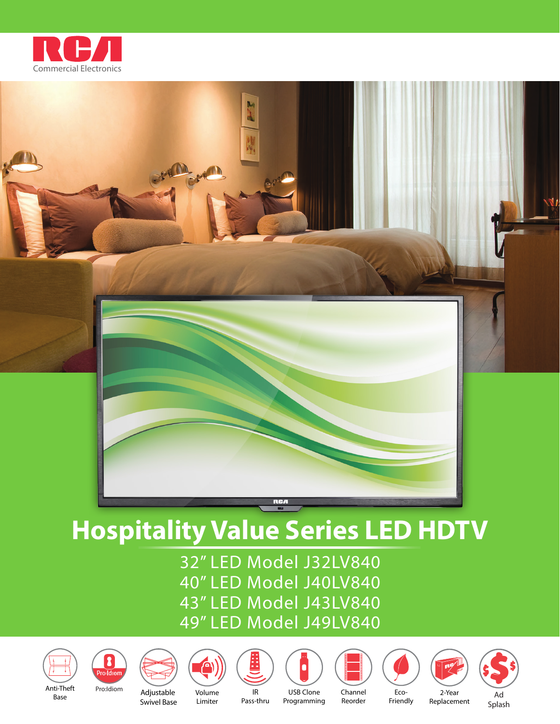



## **Hospitality Value Series LED HDTV**

32" LED Model J32LV840 40" LED Model J40LV840 43" LED Model J43LV840 49" LED Model J49LV840



Base

















Adjustable Swivel Base

Limiter

Pass-thru

USB Clone Programming

Reorder

Friendly Replacement

Splash